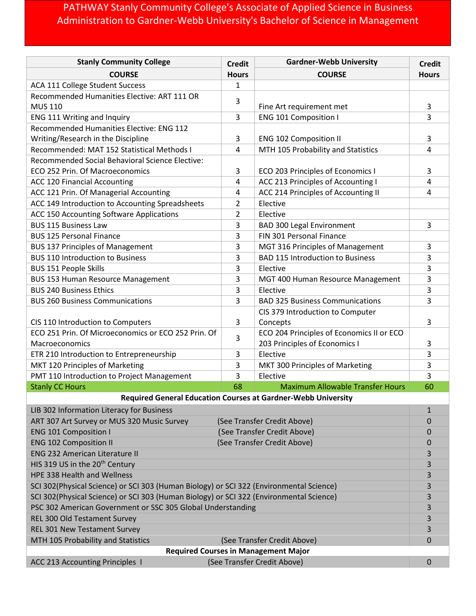## PATHWAY Stanly Community College's Associate of Applied Science in Business Administration to Gardner-Webb University's Bachelor of Science in Management

| <b>Stanly Community College</b>                                                         | <b>Credit</b>  | <b>Gardner-Webb University</b>                                              | <b>Credit</b> |  |
|-----------------------------------------------------------------------------------------|----------------|-----------------------------------------------------------------------------|---------------|--|
| <b>COURSE</b>                                                                           | <b>Hours</b>   | <b>COURSE</b>                                                               | <b>Hours</b>  |  |
| ACA 111 College Student Success                                                         | 1              |                                                                             |               |  |
| Recommended Humanities Elective: ART 111 OR<br><b>MUS 110</b>                           | 3              | Fine Art requirement met                                                    | 3             |  |
| ENG 111 Writing and Inquiry                                                             | 3              | <b>ENG 101 Composition I</b>                                                | 3             |  |
| Recommended Humanities Elective: ENG 112                                                |                |                                                                             |               |  |
| Writing/Research in the Discipline                                                      | 3              | <b>ENG 102 Composition II</b>                                               | 3             |  |
| Recommended: MAT 152 Statistical Methods I                                              | 4              | MTH 105 Probability and Statistics                                          | 4             |  |
| Recommended Social Behavioral Science Elective:                                         |                |                                                                             |               |  |
| ECO 252 Prin. Of Macroeconomics                                                         | 3              | ECO 203 Principles of Economics I                                           | 3             |  |
| ACC 120 Financial Accounting                                                            | 4              | ACC 213 Principles of Accounting I                                          | 4             |  |
| ACC 121 Prin. Of Managerial Accounting                                                  | 4              | ACC 214 Principles of Accounting II                                         | 4             |  |
| ACC 149 Introduction to Accounting Spreadsheets                                         | $\overline{2}$ | Elective                                                                    |               |  |
| ACC 150 Accounting Software Applications                                                | 2              | Elective                                                                    |               |  |
| <b>BUS 115 Business Law</b>                                                             | 3              | <b>BAD 300 Legal Environment</b><br>FIN 301 Personal Finance                | 3             |  |
| <b>BUS 125 Personal Finance</b>                                                         | 3              |                                                                             |               |  |
| <b>BUS 137 Principles of Management</b><br><b>BUS 110 Introduction to Business</b>      | 3<br>3         | MGT 316 Principles of Management<br><b>BAD 115 Introduction to Business</b> | 3<br>3        |  |
| <b>BUS 151 People Skills</b>                                                            | 3              | Elective                                                                    | 3             |  |
| <b>BUS 153 Human Resource Management</b>                                                | 3              | MGT 400 Human Resource Management                                           | 3             |  |
| <b>BUS 240 Business Ethics</b>                                                          | 3              | Elective                                                                    | 3             |  |
| <b>BUS 260 Business Communications</b>                                                  | 3              | <b>BAD 325 Business Communications</b>                                      | 3             |  |
|                                                                                         |                | CIS 379 Introduction to Computer                                            |               |  |
| CIS 110 Introduction to Computers                                                       | 3              | Concepts                                                                    | 3             |  |
| ECO 251 Prin. Of Microeconomics or ECO 252 Prin. Of                                     |                | ECO 204 Principles of Economics II or ECO                                   |               |  |
| Macroeconomics                                                                          | 3              | 203 Principles of Economics I                                               | 3             |  |
| ETR 210 Introduction to Entrepreneurship                                                | 3              | Elective                                                                    | 3             |  |
| MKT 120 Principles of Marketing                                                         | 3              | MKT 300 Principles of Marketing                                             | 3             |  |
| PMT 110 Introduction to Project Management                                              | 3              | Elective                                                                    | 3             |  |
| <b>Stanly CC Hours</b>                                                                  | 68             | <b>Maximum Allowable Transfer Hours</b>                                     | 60            |  |
| <b>Required General Education Courses at Gardner-Webb University</b>                    |                |                                                                             |               |  |
| LIB 302 Information Literacy for Business                                               |                |                                                                             |               |  |
| ART 307 Art Survey or MUS 320 Music Survey<br>(See Transfer Credit Above)               |                |                                                                             | $\mathbf 0$   |  |
| <b>ENG 101 Composition I</b><br>(See Transfer Credit Above)                             |                | $\mathbf 0$                                                                 |               |  |
| <b>ENG 102 Composition II</b><br>(See Transfer Credit Above)                            |                |                                                                             | $\mathbf 0$   |  |
| <b>ENG 232 American Literature II</b>                                                   |                |                                                                             | 3             |  |
| HIS 319 US in the 20 <sup>th</sup> Century                                              |                |                                                                             |               |  |
| HPE 338 Health and Wellness                                                             |                |                                                                             |               |  |
| SCI 302(Physical Science) or SCI 303 (Human Biology) or SCI 322 (Environmental Science) |                |                                                                             |               |  |
| SCI 302(Physical Science) or SCI 303 (Human Biology) or SCI 322 (Environmental Science) |                |                                                                             |               |  |
| PSC 302 American Government or SSC 305 Global Understanding                             |                |                                                                             |               |  |
| REL 300 Old Testament Survey                                                            |                |                                                                             | 3             |  |
| REL 301 New Testament Survey                                                            |                |                                                                             | 3             |  |
| MTH 105 Probability and Statistics<br>(See Transfer Credit Above)                       |                |                                                                             | 0             |  |
| <b>Required Courses in Management Major</b><br>$\mathbf 0$                              |                |                                                                             |               |  |
| ACC 213 Accounting Principles I<br>(See Transfer Credit Above)                          |                |                                                                             |               |  |